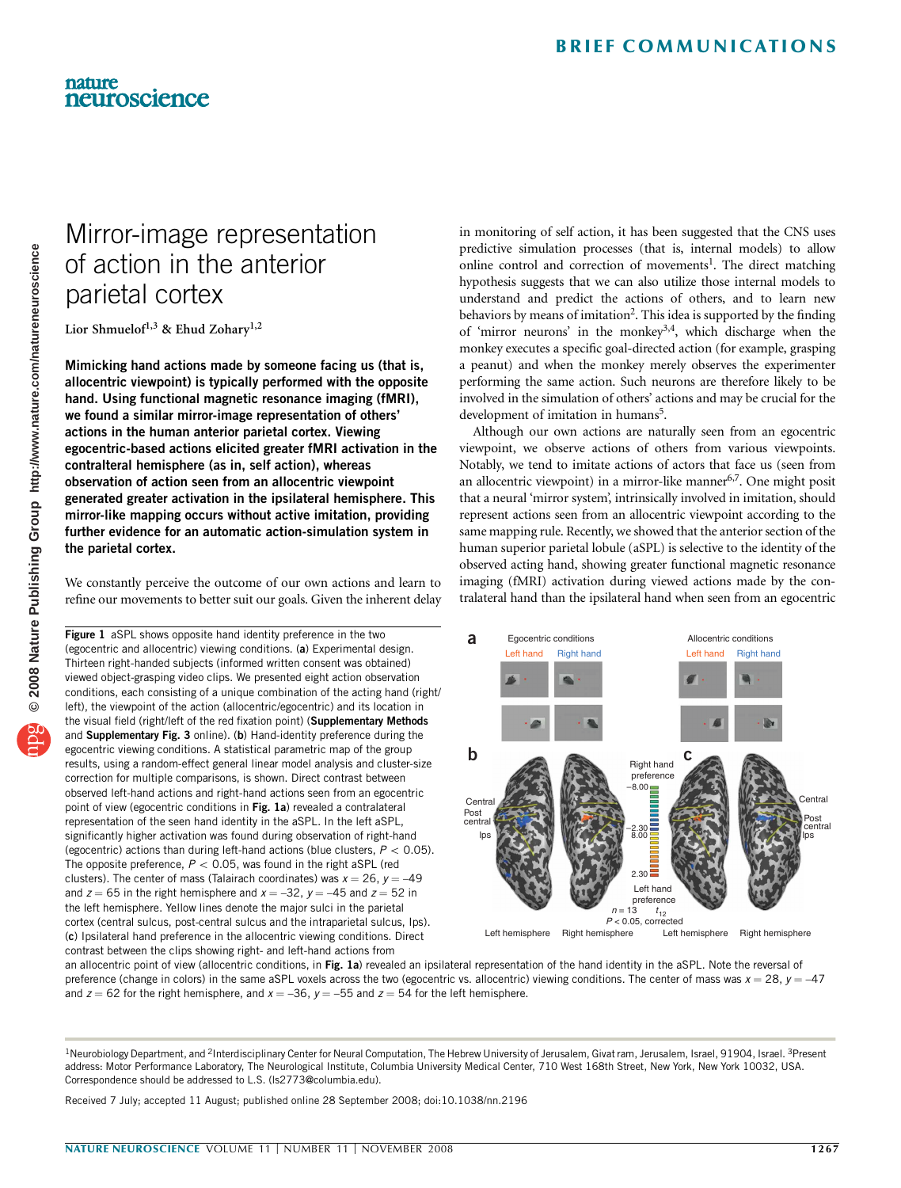### <span id="page-0-0"></span>nature neuroscience

# Mirror-image representation of action in the anterior parietal cortex

Lior Shmuelof<sup>1,3</sup> & Ehud Zohary<sup>1,2</sup>

Mimicking hand actions made by someone facing us (that is, allocentric viewpoint) is typically performed with the opposite hand. Using functional magnetic resonance imaging (fMRI), we found a similar mirror-image representation of others' actions in the human anterior parietal cortex. Viewing egocentric-based actions elicited greater fMRI activation in the contralteral hemisphere (as in, self action), whereas observation of action seen from an allocentric viewpoint generated greater activation in the ipsilateral hemisphere. This mirror-like mapping occurs without active imitation, providing further evidence for an automatic action-simulation system in the parietal cortex.

We constantly perceive the outcome of our own actions and learn to refine our movements to better suit our goals. Given the inherent delay

Figure 1 aSPL shows opposite hand identity preference in the two (egocentric and allocentric) viewing conditions. (a) Experimental design. Thirteen right-handed subjects (informed written consent was obtained) viewed object-grasping video clips. We presented eight action observation conditions, each consisting of a unique combination of the acting hand (right/ left), the viewpoint of the action (allocentric/egocentric) and its location in the visual field (right/left of the red fixation point) (Supplementary Methods and Supplementary Fig. 3 online). (b) Hand-identity preference during the egocentric viewing conditions. A statistical parametric map of the group results, using a random-effect general linear model analysis and cluster-size correction for multiple comparisons, is shown. Direct contrast between observed left-hand actions and right-hand actions seen from an egocentric point of view (egocentric conditions in Fig. 1a) revealed a contralateral representation of the seen hand identity in the aSPL. In the left aSPL, significantly higher activation was found during observation of right-hand (egocentric) actions than during left-hand actions (blue clusters,  $P < 0.05$ ). The opposite preference,  $P < 0.05$ , was found in the right aSPL (red clusters). The center of mass (Talairach coordinates) was  $x = 26$ ,  $y = -49$ and  $z = 65$  in the right hemisphere and  $x = -32$ ,  $y = -45$  and  $z = 52$  in the left hemisphere. Yellow lines denote the major sulci in the parietal cortex (central sulcus, post-central sulcus and the intraparietal sulcus, Ips). (c) Ipsilateral hand preference in the allocentric viewing conditions. Direct contrast between the clips showing right- and left-hand actions from

in monitoring of self action, it has been suggested that the CNS uses predictive simulation processes (that is, internal models) to allow online control and correction of movements<sup>1</sup>. The direct matching hypothesis suggests that we can also utilize those internal models to understand and predict the actions of others, and to learn new behaviors by means of imitation<sup>2</sup>. This idea is supported by the finding of 'mirror neurons' in the monkey<sup>3,4</sup>, which discharge when the monkey executes a specific goal-directed action (for example, grasping a peanut) and when the monkey merely observes the experimenter performing the same action. Such neurons are therefore likely to be involved in the simulation of others' actions and may be crucial for the development of imitation in humans<sup>5</sup>.

Although our own actions are naturally seen from an egocentric viewpoint, we observe actions of others from various viewpoints. Notably, we tend to imitate actions of actors that face us (seen from an allocentric viewpoint) in a mirror-like manner<sup>[6,7](#page-2-0)</sup>. One might posit that a neural 'mirror system', intrinsically involved in imitation, should represent actions seen from an allocentric viewpoint according to the same mapping rule. Recently, we showed that the anterior section of the human superior parietal lobule (aSPL) is selective to the identity of the observed acting hand, showing greater functional magnetic resonance imaging (fMRI) activation during viewed actions made by the contralateral hand than the ipsilateral hand when seen from an egocentric



an allocentric point of view (allocentric conditions, in Fig. 1a) revealed an ipsilateral representation of the hand identity in the aSPL. Note the reversal of preference (change in colors) in the same aSPL voxels across the two (egocentric vs. allocentric) viewing conditions. The center of mass was  $x = 28$ ,  $y = -47$ and  $z = 62$  for the right hemisphere, and  $x = -36$ ,  $y = -55$  and  $z = 54$  for the left hemisphere.

Received 7 July; accepted 11 August; published online 28 September 2008; [doi:10.1038/nn.2196](http://www.nature.com/doifinder/10.1038/nn.2196)

<sup>&</sup>lt;sup>1</sup>Neurobiology Department, and <sup>2</sup>Interdisciplinary Center for Neural Computation, The Hebrew University of Jerusalem, Givat ram, Jerusalem, Israel, 91904, Israel, <sup>3</sup>Present address: Motor Performance Laboratory, The Neurological Institute, Columbia University Medical Center, 710 West 168th Street, New York, New York 10032, USA. Correspondence should be addressed to L.S. [\(ls2773@columbia.edu](mailto:ls2773@columbia.edu)).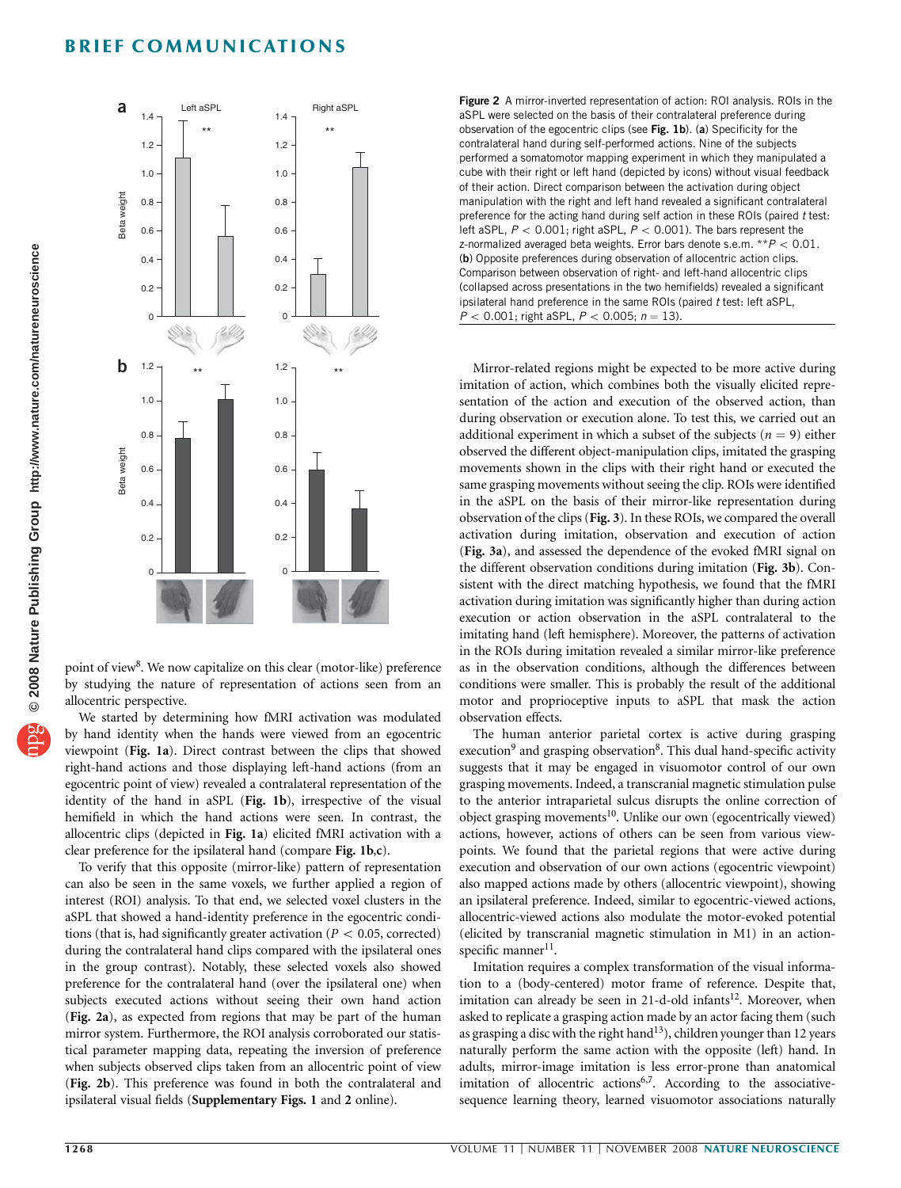## BRIEF COMMUNICATIONS



point of view<sup>[8](#page-2-0)</sup>. We now capitalize on this clear (motor-like) preference by studying the nature of representation of actions seen from an allocentric perspective.

We started by determining how fMRI activation was modulated by hand identity when the hands were viewed from an egocentric viewpoint ([Fig. 1a](#page-0-0)). Direct contrast between the clips that showed right-hand actions and those displaying left-hand actions (from an egocentric point of view) revealed a contralateral representation of the identity of the hand in aSPL ([Fig. 1b](#page-0-0)), irrespective of the visual hemifield in which the hand actions were seen. In contrast, the allocentric clips (depicted in [Fig. 1a](#page-0-0)) elicited fMRI activation with a clear preference for the ipsilateral hand (compare [Fig. 1b](#page-0-0),c).

To verify that this opposite (mirror-like) pattern of representation can also be seen in the same voxels, we further applied a region of interest (ROI) analysis. To that end, we selected voxel clusters in the aSPL that showed a hand-identity preference in the egocentric conditions (that is, had significantly greater activation ( $P < 0.05$ , corrected) during the contralateral hand clips compared with the ipsilateral ones in the group contrast). Notably, these selected voxels also showed preference for the contralateral hand (over the ipsilateral one) when subjects executed actions without seeing their own hand action (Fig. 2a), as expected from regions that may be part of the human mirror system. Furthermore, the ROI analysis corroborated our statistical parameter mapping data, repeating the inversion of preference when subjects observed clips taken from an allocentric point of view (Fig. 2b). This preference was found in both the contralateral and ipsilateral visual fields (Supplementary Figs. 1 and 2 online).

Figure 2 A mirror-inverted representation of action: ROI analysis. ROIs in the aSPL were selected on the basis of their contralateral preference during observation of the egocentric clips (see [Fig. 1b](#page-0-0)). (a) Specificity for the contralateral hand during self-performed actions. Nine of the subjects performed a somatomotor mapping experiment in which they manipulated a cube with their right or left hand (depicted by icons) without visual feedback of their action. Direct comparison between the activation during object manipulation with the right and left hand revealed a significant contralateral preference for the acting hand during self action in these ROIs (paired t test: left aSPL,  $P < 0.001$ ; right aSPL,  $P < 0.001$ ). The bars represent the z-normalized averaged beta weights. Error bars denote s.e.m.  $*P < 0.01$ . (b) Opposite preferences during observation of allocentric action clips. Comparison between observation of right- and left-hand allocentric clips (collapsed across presentations in the two hemifields) revealed a significant ipsilateral hand preference in the same ROIs (paired t test: left aSPL,  $P < 0.001$ ; right aSPL,  $P < 0.005$ ;  $n = 13$ ).

Mirror-related regions might be expected to be more active during imitation of action, which combines both the visually elicited representation of the action and execution of the observed action, than during observation or execution alone. To test this, we carried out an additional experiment in which a subset of the subjects ( $n = 9$ ) either observed the different object-manipulation clips, imitated the grasping movements shown in the clips with their right hand or executed the same grasping movements without seeing the clip. ROIs were identified in the aSPL on the basis of their mirror-like representation during observation of the clips ([Fig. 3](#page-2-0)). In these ROIs, we compared the overall activation during imitation, observation and execution of action ([Fig. 3a](#page-2-0)), and assessed the dependence of the evoked fMRI signal on the different observation conditions during imitation ([Fig. 3b](#page-2-0)). Consistent with the direct matching hypothesis, we found that the fMRI activation during imitation was significantly higher than during action execution or action observation in the aSPL contralateral to the imitating hand (left hemisphere). Moreover, the patterns of activation in the ROIs during imitation revealed a similar mirror-like preference as in the observation conditions, although the differences between conditions were smaller. This is probably the result of the additional motor and proprioceptive inputs to aSPL that mask the action observation effects.

The human anterior parietal cortex is active during grasping execution<sup>[9](#page-2-0)</sup> and grasping observation<sup>8</sup>. This dual hand-specific activity suggests that it may be engaged in visuomotor control of our own grasping movements. Indeed, a transcranial magnetic stimulation pulse to the anterior intraparietal sulcus disrupts the online correction of object grasping movements<sup>[10](#page-2-0)</sup>. Unlike our own (egocentrically viewed) actions, however, actions of others can be seen from various viewpoints. We found that the parietal regions that were active during execution and observation of our own actions (egocentric viewpoint) also mapped actions made by others (allocentric viewpoint), showing an ipsilateral preference. Indeed, similar to egocentric-viewed actions, allocentric-viewed actions also modulate the motor-evoked potential (elicited by transcranial magnetic stimulation in M1) in an action-specific manner<sup>[11](#page-2-0)</sup>.

Imitation requires a complex transformation of the visual information to a (body-centered) motor frame of reference. Despite that, imitation can already be seen in 21-d-old infants<sup>12</sup>. Moreover, when asked to replicate a grasping action made by an actor facing them (such as grasping a disc with the right hand<sup>13</sup>), children younger than 12 years naturally perform the same action with the opposite (left) hand. In adults, mirror-image imitation is less error-prone than anatomical imitation of allocentric actions<sup>6,7</sup>. According to the associativesequence learning theory, learned visuomotor associations naturally